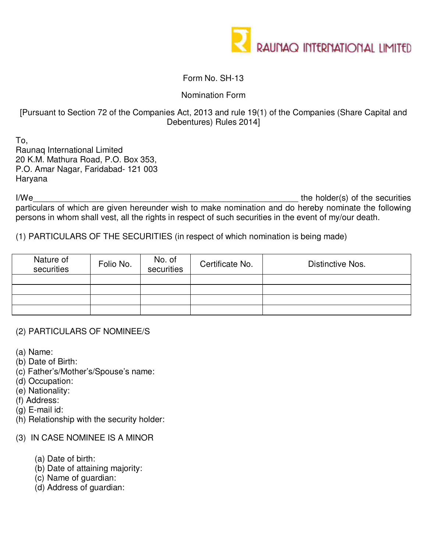

## Form No. SH-13

Nomination Form

## [Pursuant to Section 72 of the Companies Act, 2013 and rule 19(1) of the Companies (Share Capital and Debentures) Rules 2014]

To, Raunaq International Limited 20 K.M. Mathura Road, P.O. Box 353, P.O. Amar Nagar, Faridabad- 121 003 Haryana

I/We\_\_\_\_\_\_\_\_\_\_\_\_\_\_\_\_\_\_\_\_\_\_\_\_\_\_\_\_\_\_\_\_\_\_\_\_\_\_\_\_\_\_\_\_\_\_\_\_\_\_\_\_\_\_\_\_\_ the holder(s) of the securities particulars of which are given hereunder wish to make nomination and do hereby nominate the following persons in whom shall vest, all the rights in respect of such securities in the event of my/our death.

(1) PARTICULARS OF THE SECURITIES (in respect of which nomination is being made)

| Nature of<br>securities | Folio No. | No. of<br>securities | Certificate No. | Distinctive Nos. |
|-------------------------|-----------|----------------------|-----------------|------------------|
|                         |           |                      |                 |                  |
|                         |           |                      |                 |                  |
|                         |           |                      |                 |                  |
|                         |           |                      |                 |                  |

## (2) PARTICULARS OF NOMINEE/S

- (a) Name:
- (b) Date of Birth:
- (c) Father's/Mother's/Spouse's name:
- (d) Occupation:
- (e) Nationality:
- (f) Address:
- (g) E-mail id:
- (h) Relationship with the security holder:
- (3) IN CASE NOMINEE IS A MINOR
	- (a) Date of birth:
	- (b) Date of attaining majority:
	- (c) Name of guardian:
	- (d) Address of guardian: